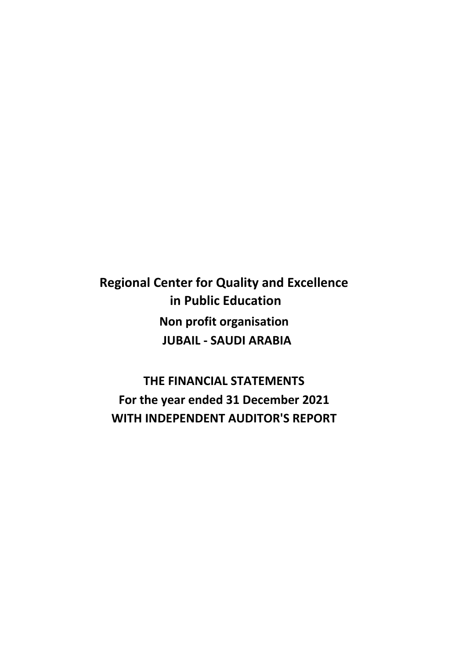**Regional Center for Quality and Excellence in Public Education Non profit organisation JUBAIL - SAUDI ARABIA**

**WITH INDEPENDENT AUDITOR'S REPORT THE FINANCIAL STATEMENTS For the year ended 31 December 2021**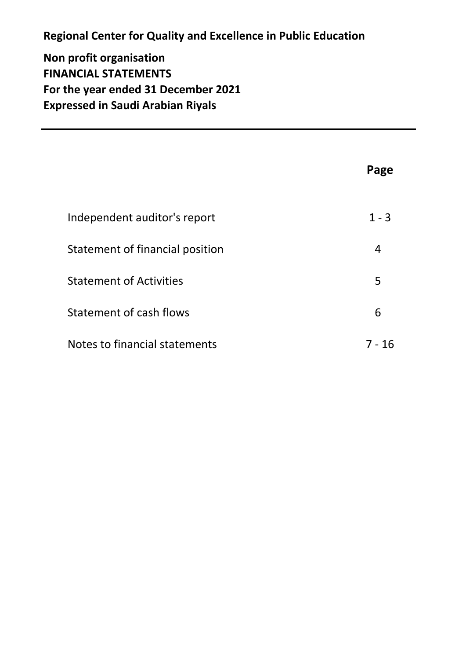# **Regional Center for Quality and Excellence in Public Education**

**Non profit organisation FINANCIAL STATEMENTS For the year ended 31 December 2021 Expressed in Saudi Arabian Riyals**

|                                 | Page    |
|---------------------------------|---------|
| Independent auditor's report    | $1 - 3$ |
| Statement of financial position | 4       |
| <b>Statement of Activities</b>  | 5       |
| Statement of cash flows         | 6       |
| Notes to financial statements   | 7 - 16  |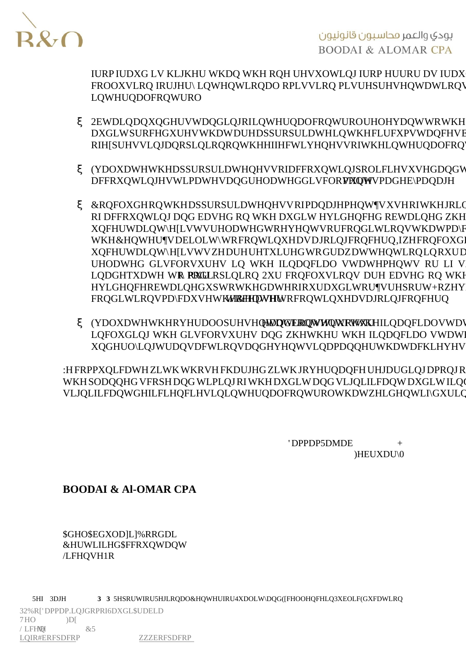يودي والعمر فحاسبون قانونيون **BOODAI & ALOMAR CPA** 

IURPUDXG LV KLJKHU WKDQ WKH RQH UHVXOWL FROOXVLRQ IRUJHU\ LQWHQWLRQDO RPLVVLRQ LQWHUQDO FRQWURO

- x 2EWDLQ DQ XQGHUVWDQGLQJ RI LQWHUQDO FRQV DXGLW SURFHGXUHV WKDW DUH DSSURSULDWH LO RI HISUHVVLOJ DO RSLOLRO RO WKH HIIHFWLYHO
- **x (YDOXDWH WKH DSSURSULDWHQHVV RI DFFRXQWL** DFFRXQWLQJ HVWLPDWHV DQG UHOMOWHG GLVFOR
- **x & RQFOXGH RQ WKH DSSURSULDWHQHVV RI PDQDJ** RI DFFRXQWLQJ DQG EDVHG RQ WKH DXGLW HY XQFHUWDLQW\ H[LVWV UHODWHG WR HYHQWV RU WKH &HQWHU¶V DELOLW\ WR FRQWLQXH DV D JR XQFHUWDLQW\ H[LVWV ZH DUH UHTXLUHG WR GI UHODWHG GLVFORVXUHV LQ WKH ILQDQFLDO LQDGHTXDWH RWR RRGQLRQ 2XU FRQFOXVLRQV HYLGHOFH REWDLOHG XS WR WKH GDWH RI RXU I FROGLWLROV PD\ WIRXN'HIDWKHW&HEORWMULOXH DVD
- **x** (YDOXDWH WKH RYHUDIO OSGHE WHO WHO WLRD WKWHUN LOFOXGLOJ WKH GLVFORVXUHV DQG ZKHWKHU XQGHUO\LQJ WUDQVDFWLRQV DQG HYHQWV LQ D

:H FRPPXQLFDWH ZLWK WKRVH FKDUJHG ZLWK JRYH WKH SODOOHG VFRSH DOG WLPLOJ RI WKH DXGLW D VLJOLILFDOW GHILFLHOFLHV LO LOWHUODO FROWUR

> $'DPPP$  $5<sub>D</sub>$  MDE  $H E U X D U$  $\mathbf{0}$

**BOODAI & AI-OMAR CPA** 

*SGHO SEGXODILI % RRGDL* &HUWLILHG \$FFRXOWDOW /LFHQVH 1R

3 3 5HSRUW IRU 5HJLRODO & HOWHU IRU 4XDOLW\ DOG ([FHOOHOFH LO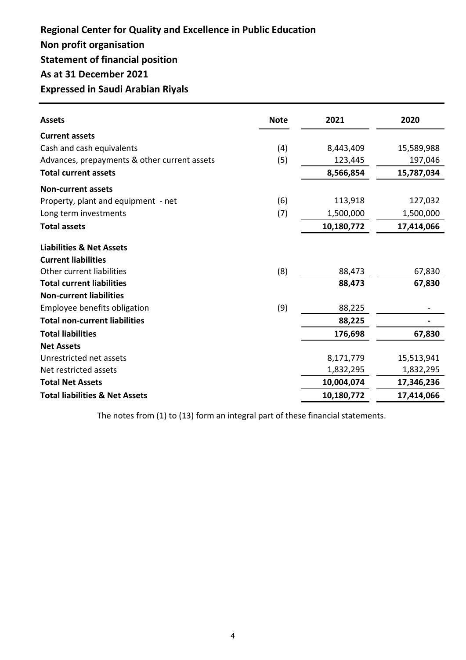## **Non profit organisation Statement of financial position As at 31 December 2021 Expressed in Saudi Arabian Riyals Regional Center for Quality and Excellence in Public Education**

| <b>Assets</b>                                | <b>Note</b> | 2021       | 2020       |
|----------------------------------------------|-------------|------------|------------|
| <b>Current assets</b>                        |             |            |            |
| Cash and cash equivalents                    | (4)         | 8,443,409  | 15,589,988 |
| Advances, prepayments & other current assets | (5)         | 123,445    | 197,046    |
| <b>Total current assets</b>                  |             | 8,566,854  | 15,787,034 |
| <b>Non-current assets</b>                    |             |            |            |
| Property, plant and equipment - net          | (6)         | 113,918    | 127,032    |
| Long term investments                        | (7)         | 1,500,000  | 1,500,000  |
| <b>Total assets</b>                          |             | 10,180,772 | 17,414,066 |
| <b>Liabilities &amp; Net Assets</b>          |             |            |            |
| <b>Current liabilities</b>                   |             |            |            |
| Other current liabilities                    | (8)         | 88,473     | 67,830     |
| <b>Total current liabilities</b>             |             | 88,473     | 67,830     |
| <b>Non-current liabilities</b>               |             |            |            |
| Employee benefits obligation                 | (9)         | 88,225     |            |
| <b>Total non-current liabilities</b>         |             | 88,225     |            |
| <b>Total liabilities</b>                     |             | 176,698    | 67,830     |
| <b>Net Assets</b>                            |             |            |            |
| Unrestricted net assets                      |             | 8,171,779  | 15,513,941 |
| Net restricted assets                        |             | 1,832,295  | 1,832,295  |
| <b>Total Net Assets</b>                      |             | 10,004,074 | 17,346,236 |
| <b>Total liabilities &amp; Net Assets</b>    |             | 10,180,772 | 17,414,066 |

The notes from (1) to (13) form an integral part of these financial statements.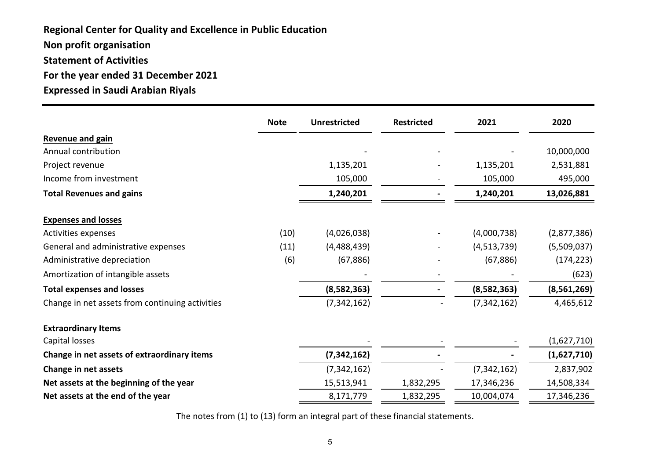**Non profit organisation Statement of Activities For the year ended 31 December 2021 Expressed in Saudi Arabian Riyals Regional Center for Quality and Excellence in Public Education**

|                                                 | <b>Note</b> | <b>Unrestricted</b> | <b>Restricted</b> | 2021          | 2020        |
|-------------------------------------------------|-------------|---------------------|-------------------|---------------|-------------|
| <b>Revenue and gain</b>                         |             |                     |                   |               |             |
| Annual contribution                             |             |                     |                   |               | 10,000,000  |
| Project revenue                                 |             | 1,135,201           |                   | 1,135,201     | 2,531,881   |
| Income from investment                          |             | 105,000             |                   | 105,000       | 495,000     |
| <b>Total Revenues and gains</b>                 |             | 1,240,201           |                   | 1,240,201     | 13,026,881  |
| <b>Expenses and losses</b>                      |             |                     |                   |               |             |
| Activities expenses                             | (10)        | (4,026,038)         |                   | (4,000,738)   | (2,877,386) |
| General and administrative expenses             | (11)        | (4,488,439)         |                   | (4,513,739)   | (5,509,037) |
| Administrative depreciation                     | (6)         | (67, 886)           |                   | (67, 886)     | (174, 223)  |
| Amortization of intangible assets               |             |                     |                   |               | (623)       |
| <b>Total expenses and losses</b>                |             | (8,582,363)         |                   | (8,582,363)   | (8,561,269) |
| Change in net assets from continuing activities |             | (7, 342, 162)       |                   | (7, 342, 162) | 4,465,612   |
| <b>Extraordinary Items</b>                      |             |                     |                   |               |             |
| Capital losses                                  |             |                     |                   |               | (1,627,710) |
| Change in net assets of extraordinary items     |             | (7,342,162)         |                   |               | (1,627,710) |
| Change in net assets                            |             | (7, 342, 162)       |                   | (7, 342, 162) | 2,837,902   |
| Net assets at the beginning of the year         |             | 15,513,941          | 1,832,295         | 17,346,236    | 14,508,334  |
| Net assets at the end of the year               |             | 8,171,779           | 1,832,295         | 10,004,074    | 17,346,236  |

The notes from (1) to (13) form an integral part of these financial statements.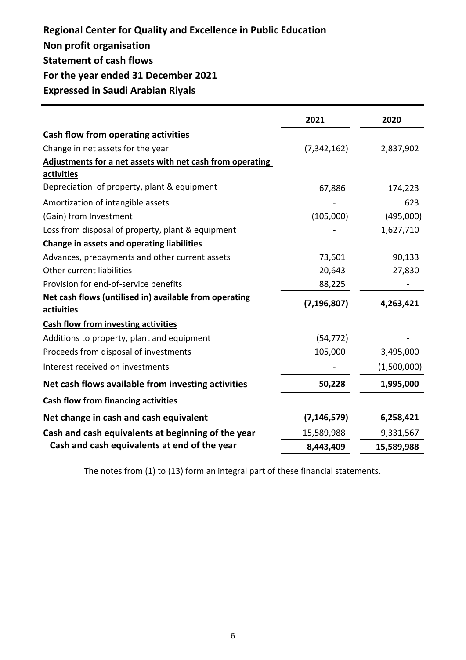# **Regional Center for Quality and Excellence in Public Education**

- **Non profit organisation**
- **Statement of cash flows**

## **For the year ended 31 December 2021**

**Expressed in Saudi Arabian Riyals**

|                                                           | 2021          | 2020        |
|-----------------------------------------------------------|---------------|-------------|
| <b>Cash flow from operating activities</b>                |               |             |
| Change in net assets for the year                         | (7, 342, 162) | 2,837,902   |
| Adjustments for a net assets with net cash from operating |               |             |
| <b>activities</b>                                         |               |             |
| Depreciation of property, plant & equipment               | 67,886        | 174,223     |
| Amortization of intangible assets                         |               | 623         |
| (Gain) from Investment                                    | (105,000)     | (495,000)   |
| Loss from disposal of property, plant & equipment         |               | 1,627,710   |
| <b>Change in assets and operating liabilities</b>         |               |             |
| Advances, prepayments and other current assets            | 73,601        | 90,133      |
| Other current liabilities                                 | 20,643        | 27,830      |
| Provision for end-of-service benefits                     | 88,225        |             |
| Net cash flows (untilised in) available from operating    | (7, 196, 807) | 4,263,421   |
| activities                                                |               |             |
| <b>Cash flow from investing activities</b>                |               |             |
| Additions to property, plant and equipment                | (54, 772)     |             |
| Proceeds from disposal of investments                     | 105,000       | 3,495,000   |
| Interest received on investments                          |               | (1,500,000) |
| Net cash flows available from investing activities        | 50,228        | 1,995,000   |
| <b>Cash flow from financing activities</b>                |               |             |
| Net change in cash and cash equivalent                    | (7, 146, 579) | 6,258,421   |
| Cash and cash equivalents at beginning of the year        | 15,589,988    | 9,331,567   |
| Cash and cash equivalents at end of the year              | 8,443,409     | 15,589,988  |

The notes from (1) to (13) form an integral part of these financial statements.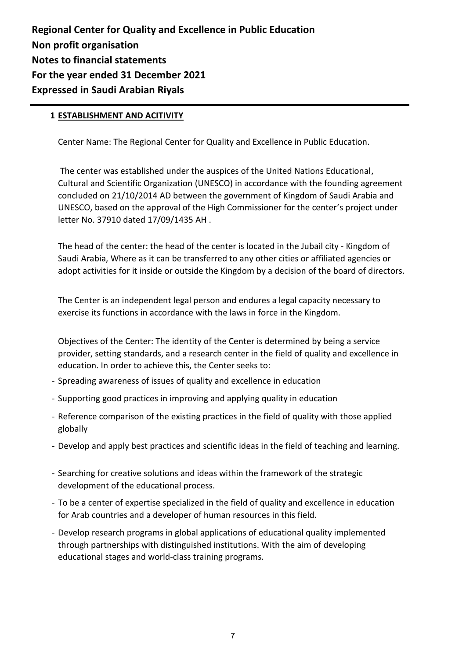### **1 ESTABLISHMENT AND ACITIVITY**

Center Name: The Regional Center for Quality and Excellence in Public Education.

 The center was established under the auspices of the United Nations Educational, Cultural and Scientific Organization (UNESCO) in accordance with the founding agreement concluded on 21/10/2014 AD between the government of Kingdom of Saudi Arabia and UNESCO, based on the approval of the High Commissioner for the center's project under letter No. 37910 dated 17/09/1435 AH .

The head of the center: the head of the center is located in the Jubail city - Kingdom of Saudi Arabia, Where as it can be transferred to any other cities or affiliated agencies or adopt activities for it inside or outside the Kingdom by a decision of the board of directors.

The Center is an independent legal person and endures a legal capacity necessary to exercise its functions in accordance with the laws in force in the Kingdom.

Objectives of the Center: The identity of the Center is determined by being a service provider, setting standards, and a research center in the field of quality and excellence in education. In order to achieve this, the Center seeks to:

- Spreading awareness of issues of quality and excellence in education
- Supporting good practices in improving and applying quality in education
- Reference comparison of the existing practices in the field of quality with those applied globally
- Develop and apply best practices and scientific ideas in the field of teaching and learning.
- Searching for creative solutions and ideas within the framework of the strategic development of the educational process.
- To be a center of expertise specialized in the field of quality and excellence in education for Arab countries and a developer of human resources in this field.
- Develop research programs in global applications of educational quality implemented through partnerships with distinguished institutions. With the aim of developing educational stages and world-class training programs.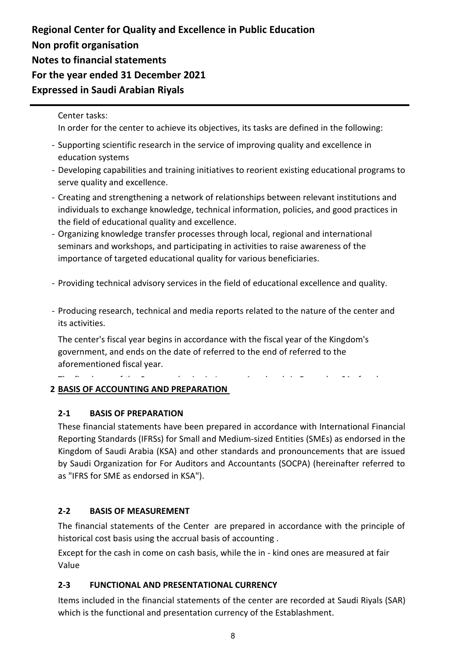### Center tasks:

In order for the center to achieve its objectives, its tasks are defined in the following:

- Supporting scientific research in the service of improving quality and excellence in education systems
- Developing capabilities and training initiatives to reorient existing educational programs to serve quality and excellence.
- Creating and strengthening a network of relationships between relevant institutions and individuals to exchange knowledge, technical information, policies, and good practices in the field of educational quality and excellence.
- Organizing knowledge transfer processes through local, regional and international seminars and workshops, and participating in activities to raise awareness of the importance of targeted educational quality for various beneficiaries.
- Providing technical advisory services in the field of educational excellence and quality.
- Producing research, technical and media reports related to the nature of the center and its activities.

The center's fiscal year begins in accordance with the fiscal year of the Kingdom's government, and ends on the date of referred to the end of referred to the aforementioned fiscal year.

The fiscal year of the Company begins in January 1 and ends in December 31 of each year.

### **2 BASIS OF ACCOUNTING AND PREPARATION**

#### **BASIS OF PREPARATION 2-1**

These financial statements have been prepared in accordance with International Financial Reporting Standards (IFRSs) for Small and Medium-sized Entities (SMEs) as endorsed in the Kingdom of Saudi Arabia (KSA) and other standards and pronouncements that are issued by Saudi Organization for For Auditors and Accountants (SOCPA) (hereinafter referred to as "IFRS for SME as endorsed in KSA").

#### **BASIS OF MEASUREMENT 2-2**

The financial statements of the Center are prepared in accordance with the principle of historical cost basis using the accrual basis of accounting .

Except for the cash in come on cash basis, while the in - kind ones are measured at fair Value

### **2-3 FUNCTIONAL AND PRESENTATIONAL CURRENCY**

Items included in the financial statements of the center are recorded at Saudi Riyals (SAR) which is the functional and presentation currency of the Establashment.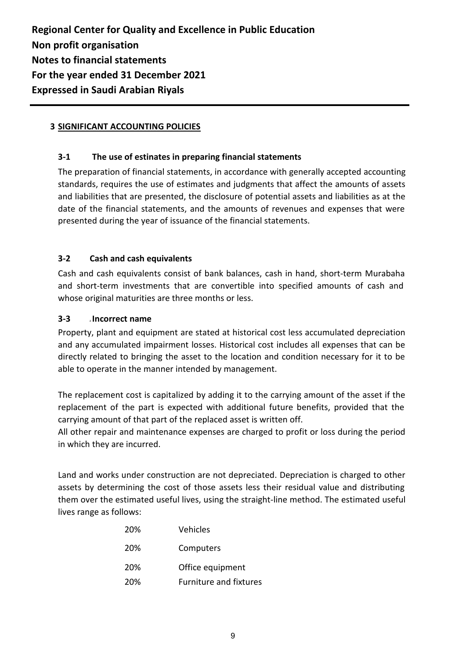### **3 SIGNIFICANT ACCOUNTING POLICIES**

### **3-1 The use of estinates in preparing financial statements**

The preparation of financial statements, in accordance with generally accepted accounting standards, requires the use of estimates and judgments that affect the amounts of assets and liabilities that are presented, the disclosure of potential assets and liabilities as at the date of the financial statements, and the amounts of revenues and expenses that were presented during the year of issuance of the financial statements.

#### **Cash and cash equivalents 3-2**

Cash and cash equivalents consist of bank balances, cash in hand, short-term Murabaha and short-term investments that are convertible into specified amounts of cash and whose original maturities are three months or less.

#### **Accounts receivable Incorrect name 3-3**

Property, plant and equipment are stated at historical cost less accumulated depreciation and any accumulated impairment losses. Historical cost includes all expenses that can be directly related to bringing the asset to the location and condition necessary for it to be able to operate in the manner intended by management.

The replacement cost is capitalized by adding it to the carrying amount of the asset if the replacement of the part is expected with additional future benefits, provided that the carrying amount of that part of the replaced asset is written off.

All other repair and maintenance expenses are charged to profit or loss during the period in which they are incurred.

Land and works under construction are not depreciated. Depreciation is charged to other assets by determining the cost of those assets less their residual value and distributing them over the estimated useful lives, using the straight-line method. The estimated useful lives range as follows:

| 20%        | Vehicles                      |
|------------|-------------------------------|
| <b>20%</b> | Computers                     |
| 20%        | Office equipment              |
| 20%        | <b>Furniture and fixtures</b> |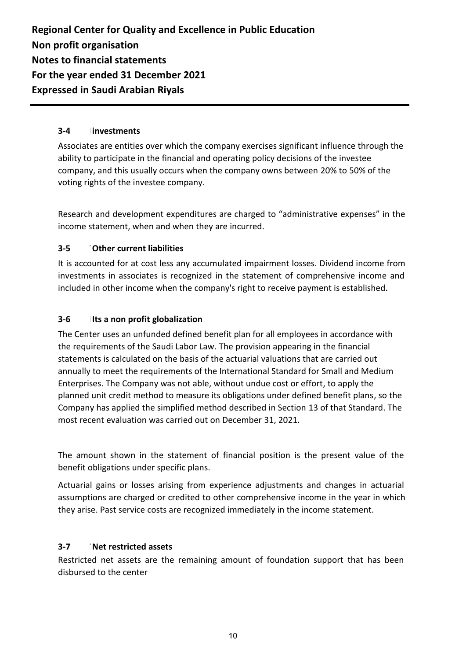#### **investments 3-4**

Associates are entities over which the company exercises significant influence through the ability to participate in the financial and operating policy decisions of the investee company, and this usually occurs when the company owns between 20% to 50% of the voting rights of the investee company.

Research and development expenditures are charged to "administrative expenses" in the income statement, when and when they are incurred.

#### **Transactions with related parties Other current liabilities 3-5**

It is accounted for at cost less any accumulated impairment losses. Dividend income from investments in associates is recognized in the statement of comprehensive income and included in other income when the company's right to receive payment is established.

#### **Its a non profit globalization 3-6**

The Center uses an unfunded defined benefit plan for all employees in accordance with the requirements of the Saudi Labor Law. The provision appearing in the financial statements is calculated on the basis of the actuarial valuations that are carried out annually to meet the requirements of the International Standard for Small and Medium Enterprises. The Company was not able, without undue cost or effort, to apply the planned unit credit method to measure its obligations under defined benefit plans, so the Company has applied the simplified method described in Section 13 of that Standard. The most recent evaluation was carried out on December 31, 2021.

The amount shown in the statement of financial position is the present value of the benefit obligations under specific plans.

Actuarial gains or losses arising from experience adjustments and changes in actuarial assumptions are charged or credited to other comprehensive income in the year in which they arise. Past service costs are recognized immediately in the income statement.

#### **Trade & other payables Net restricted assets 3-7**

Restricted net assets are the remaining amount of foundation support that has been disbursed to the center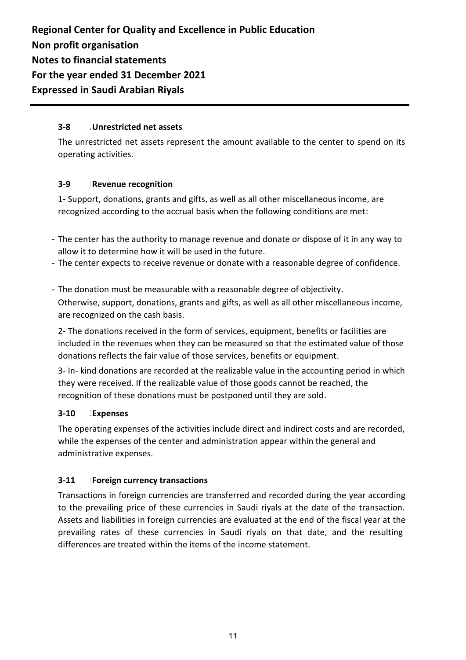#### **Accrued expenses and other current liabilities Unrestricted net assets 3-8**

The unrestricted net assets represent the amount available to the center to spend on its operating activities.

#### **Revenue recognition 3-9**

1- Support, donations, grants and gifts, as well as all other miscellaneous income, are recognized according to the accrual basis when the following conditions are met:

- The center has the authority to manage revenue and donate or dispose of it in any way to allow it to determine how it will be used in the future.
- The center expects to receive revenue or donate with a reasonable degree of confidence.
- The donation must be measurable with a reasonable degree of objectivity. Otherwise, support, donations, grants and gifts, as well as all other miscellaneous income, are recognized on the cash basis.

2- The donations received in the form of services, equipment, benefits or facilities are included in the revenues when they can be measured so that the estimated value of those donations reflects the fair value of those services, benefits or equipment.

3- In- kind donations are recorded at the realizable value in the accounting period in which they were received. If the realizable value of those goods cannot be reached, the recognition of these donations must be postponed until they are sold.

#### **Zakat Provision Expenses 3-10**

The operating expenses of the activities include direct and indirect costs and are recorded, while the expenses of the center and administration appear within the general and administrative expenses.

#### **Foreign currency transactions 3-11**

Transactions in foreign currencies are transferred and recorded during the year according to the prevailing price of these currencies in Saudi riyals at the date of the transaction. Assets and liabilities in foreign currencies are evaluated at the end of the fiscal year at the prevailing rates of these currencies in Saudi riyals on that date, and the resulting differences are treated within the items of the income statement.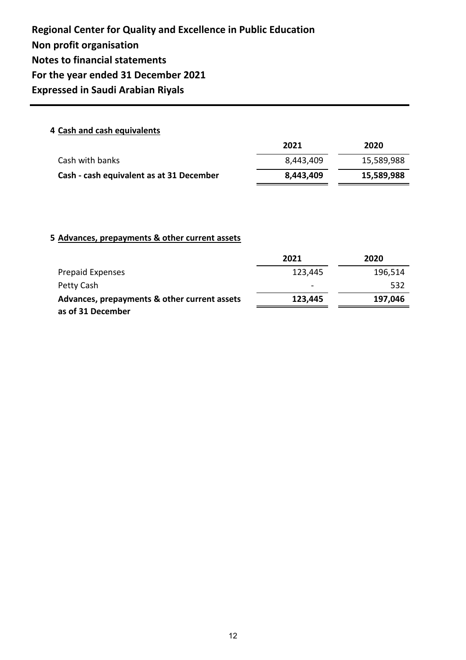### **4 Cash and cash equivalents**

|                                          | 2021      | 2020       |
|------------------------------------------|-----------|------------|
| Cash with banks                          | 8,443,409 | 15,589,988 |
| Cash - cash equivalent as at 31 December | 8,443,409 | 15,589,988 |

### **5 Advances, prepayments & other current assets**

|                                              | 2021    | 2020    |
|----------------------------------------------|---------|---------|
| <b>Prepaid Expenses</b>                      | 123,445 | 196,514 |
| Petty Cash                                   | -       | 532     |
| Advances, prepayments & other current assets | 123,445 | 197,046 |
| as of 31 December                            |         |         |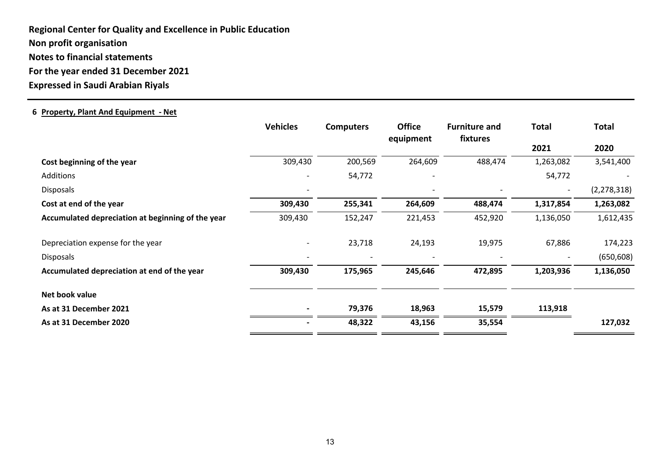### **6 Property, Plant And Equipment - Net**

|                                                   | <b>Vehicles</b> | <b>Computers</b> | <b>Office</b><br>equipment | <b>Furniture and</b><br>fixtures | <b>Total</b>             | <b>Total</b>  |
|---------------------------------------------------|-----------------|------------------|----------------------------|----------------------------------|--------------------------|---------------|
|                                                   |                 |                  |                            |                                  | 2021                     | 2020          |
| Cost beginning of the year                        | 309,430         | 200,569          | 264,609                    | 488,474                          | 1,263,082                | 3,541,400     |
| <b>Additions</b>                                  |                 | 54,772           |                            |                                  | 54,772                   |               |
| <b>Disposals</b>                                  |                 |                  |                            |                                  | $\overline{\phantom{a}}$ | (2, 278, 318) |
| Cost at end of the year                           | 309,430         | 255,341          | 264,609                    | 488,474                          | 1,317,854                | 1,263,082     |
| Accumulated depreciation at beginning of the year | 309,430         | 152,247          | 221,453                    | 452,920                          | 1,136,050                | 1,612,435     |
| Depreciation expense for the year                 |                 | 23,718           | 24,193                     | 19,975                           | 67,886                   | 174,223       |
| <b>Disposals</b>                                  |                 |                  |                            |                                  |                          | (650, 608)    |
| Accumulated depreciation at end of the year       | 309,430         | 175,965          | 245,646                    | 472,895                          | 1,203,936                | 1,136,050     |
| Net book value                                    |                 |                  |                            |                                  |                          |               |
| As at 31 December 2021                            |                 | 79,376           | 18,963                     | 15,579                           | 113,918                  |               |
| As at 31 December 2020                            |                 | 48,322           | 43,156                     | 35,554                           |                          | 127,032       |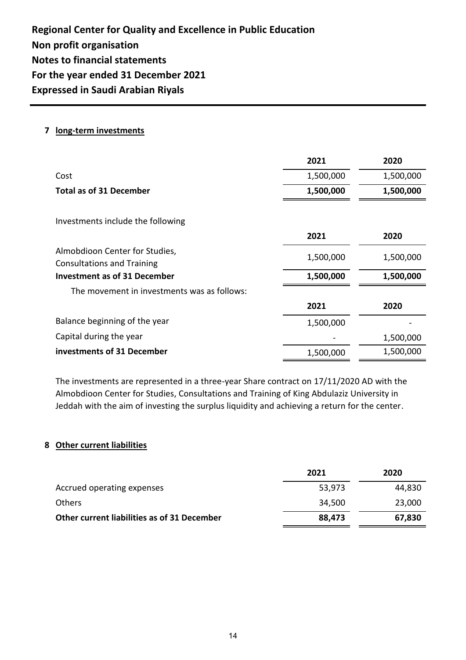### **7 long-term investments**

|                                                                     | 2021      | 2020      |
|---------------------------------------------------------------------|-----------|-----------|
| Cost                                                                | 1,500,000 | 1,500,000 |
| <b>Total as of 31 December</b>                                      | 1,500,000 | 1,500,000 |
| Investments include the following                                   |           |           |
|                                                                     | 2021      | 2020      |
| Almobdioon Center for Studies,<br><b>Consultations and Training</b> | 1,500,000 | 1,500,000 |
| <b>Investment as of 31 December</b>                                 | 1,500,000 | 1,500,000 |
| The movement in investments was as follows:                         |           |           |
|                                                                     | 2021      | 2020      |
| Balance beginning of the year                                       | 1,500,000 |           |
| Capital during the year                                             |           | 1,500,000 |
| investments of 31 December                                          | 1,500,000 | 1,500,000 |

The investments are represented in a three-year Share contract on 17/11/2020 AD with the Almobdioon Center for Studies, Consultations and Training of King Abdulaziz University in Jeddah with the aim of investing the surplus liquidity and achieving a return for the center.

### **8 Other current liabilities**

|                                             | 2021   | 2020   |
|---------------------------------------------|--------|--------|
| Accrued operating expenses                  | 53,973 | 44,830 |
| Others                                      | 34,500 | 23,000 |
| Other current liabilities as of 31 December | 88,473 | 67,830 |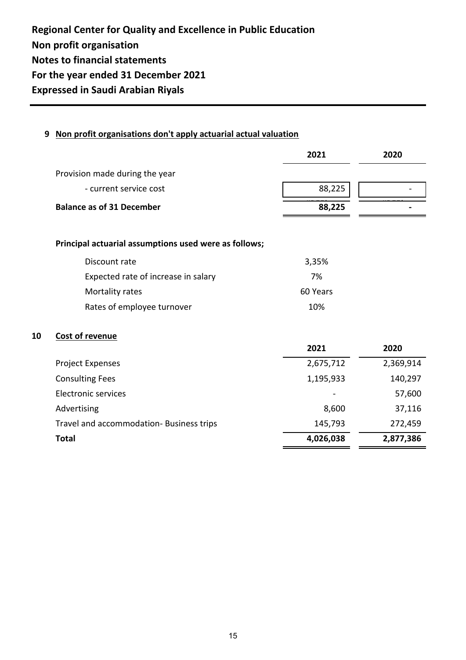### **9 Non profit organisations don't apply actuarial actual valuation**

|                                  | 2021   | 2020 |  |
|----------------------------------|--------|------|--|
| Provision made during the year   |        |      |  |
| - current service cost           | 88,225 |      |  |
| <b>Balance as of 31 December</b> | 88,225 |      |  |

### **Principal actuarial assumptions used were as follows;**

| Discount rate                       | 3,35%    |
|-------------------------------------|----------|
| Expected rate of increase in salary | 7%       |
| Mortality rates                     | 60 Years |
| Rates of employee turnover          | 10%      |

### **10 Cost of revenue**

|                                          | 2021                         | 2020      |
|------------------------------------------|------------------------------|-----------|
| <b>Project Expenses</b>                  | 2,675,712                    | 2,369,914 |
| <b>Consulting Fees</b>                   | 1,195,933                    | 140,297   |
| <b>Electronic services</b>               | $\qquad \qquad \blacksquare$ | 57,600    |
| Advertising                              | 8,600                        | 37,116    |
| Travel and accommodation- Business trips | 145,793                      | 272,459   |
| <b>Total</b>                             | 4,026,038                    | 2,877,386 |